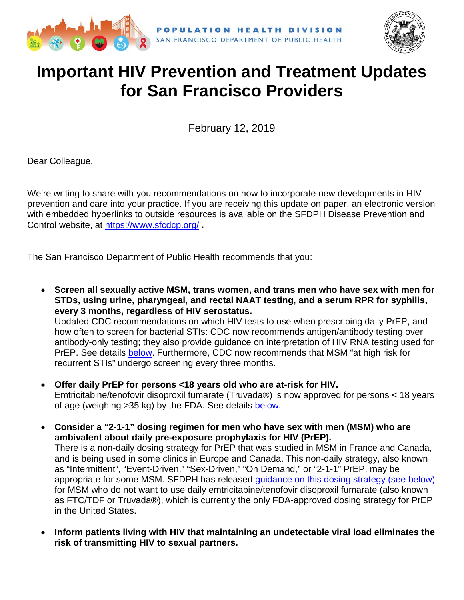



# **Important HIV Prevention and Treatment Updates for San Francisco Providers**

February 12, 2019

Dear Colleague,

We're writing to share with you recommendations on how to incorporate new developments in HIV prevention and care into your practice. If you are receiving this update on paper, an electronic version with embedded hyperlinks to outside resources is available on the SFDPH Disease Prevention and Control website, at<https://www.sfcdcp.org/> .

The San Francisco Department of Public Health recommends that you:

- **Screen all sexually active MSM, trans women, and trans men who have sex with men for STDs, using urine, pharyngeal, and rectal NAAT testing, and a serum RPR for syphilis, every 3 months, regardless of HIV serostatus.**  Updated CDC recommendations on which HIV tests to use when prescribing daily PrEP, and how often to screen for bacterial STIs: CDC now recommends antigen/antibody testing over antibody-only testing; they also provide guidance on interpretation of HIV RNA testing used for PrEP. See details [below.](#page-1-0) Furthermore, CDC now recommends that MSM "at high risk for recurrent STIs" undergo screening every three months.
- **Offer daily PrEP for persons <18 years old who are at-risk for HIV.** Emtricitabine/tenofovir disoproxil fumarate (Truvada®) is now approved for persons < 18 years of age (weighing >35 kg) by the FDA. See details [below.](#page-1-1)
- **Consider a "2-1-1" dosing regimen for men who have sex with men (MSM) who are ambivalent about daily pre-exposure prophylaxis for HIV (PrEP).**  There is a non-daily dosing strategy for PrEP that was studied in MSM in France and Canada, and is being used in some clinics in Europe and Canada. This non-daily strategy, also known as "Intermittent", "Event-Driven," "Sex-Driven," "On Demand," or "2-1-1" PrEP, may be appropriate for some MSM. SFDPH has released [guidance on this dosing strategy](#page-1-2) (see below) for MSM who do not want to use daily emtricitabine/tenofovir disoproxil fumarate (also known as FTC/TDF or Truvada®), which is currently the only FDA-approved dosing strategy for PrEP in the United States.
- **Inform patients living with HIV that maintaining an undetectable viral load eliminates the risk of transmitting HIV to sexual partners.**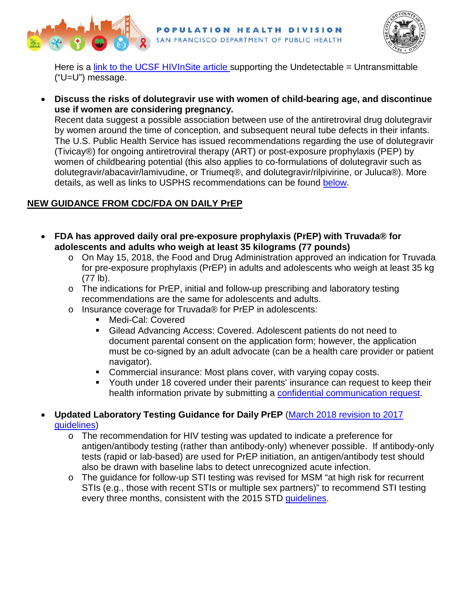



Here is a [link to the UCSF HIVInSite article s](http://hivinsite.ucsf.edu/InSite?page=md-expert-spinelli)upporting the Undetectable = Untransmittable ("U=U") message.

• **Discuss the risks of dolutegravir use with women of child-bearing age, and discontinue use if women are considering pregnancy.**

Recent data suggest a possible association between use of the antiretroviral drug dolutegravir by women around the time of conception, and subsequent neural tube defects in their infants. The U.S. Public Health Service has issued recommendations regarding the use of dolutegravir (Tivicay®) for ongoing antiretroviral therapy (ART) or post-exposure prophylaxis (PEP) by women of childbearing potential (this also applies to co-formulations of dolutegravir such as dolutegravir/abacavir/lamivudine, or Triumeq®, and dolutegravir/rilpivirine, or Juluca®). More details, as well as links to USPHS recommendations can be found [below.](#page-4-0)

## **NEW GUIDANCE FROM CDC/FDA ON DAILY PrEP**

- <span id="page-1-1"></span>• **FDA has approved daily oral pre-exposure prophylaxis (PrEP) with Truvada® for adolescents and adults who weigh at least 35 kilograms (77 pounds)**
	- o On May 15, 2018, the Food and Drug Administration approved an indication for Truvada for pre-exposure prophylaxis (PrEP) in adults and adolescents who weigh at least 35 kg (77 lb).
	- o The indications for PrEP, initial and follow-up prescribing and laboratory testing recommendations are the same for adolescents and adults.
	- o Insurance coverage for Truvada® for PrEP in adolescents:
		- Medi-Cal: Covered
		- Gilead Advancing Access: Covered. Adolescent patients do not need to document parental consent on the application form; however, the application must be co-signed by an adult advocate (can be a health care provider or patient navigator).
		- Commercial insurance: Most plans cover, with varying copay costs.
		- Youth under 18 covered under their parents' insurance can request to keep their health information private by submitting a [confidential communication request.](https://myhealthmyinfo.org/)
- <span id="page-1-2"></span><span id="page-1-0"></span>• **Updated Laboratory Testing Guidance for Daily PrEP** [\(March 2018 revision to 2017](https://www.cdc.gov/hiv/risk/prep/index.html)  [guidelines\)](https://www.cdc.gov/hiv/risk/prep/index.html)
	- o The recommendation for HIV testing was updated to indicate a preference for antigen/antibody testing (rather than antibody-only) whenever possible. If antibody-only tests (rapid or lab-based) are used for PrEP initiation, an antigen/antibody test should also be drawn with baseline labs to detect unrecognized acute infection.
	- o The guidance for follow-up STI testing was revised for MSM "at high risk for recurrent STIs (e.g., those with recent STIs or multiple sex partners)" to recommend STI testing every three months, consistent with the 2015 STD [guidelines.](https://www.cdc.gov/std/tg2015/default.htm)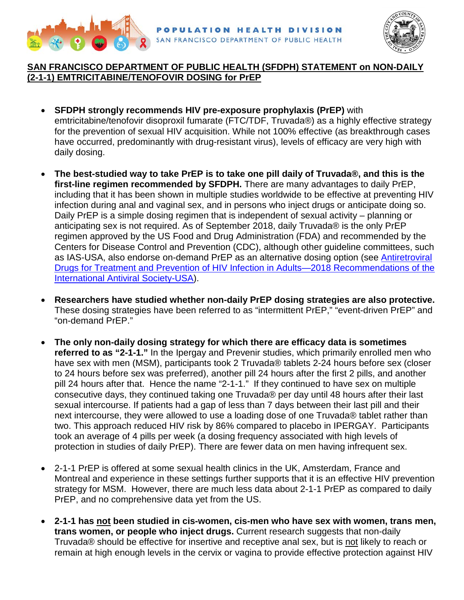



### **SAN FRANCISCO DEPARTMENT OF PUBLIC HEALTH (SFDPH) STATEMENT on NON-DAILY (2-1-1) EMTRICITABINE/TENOFOVIR DOSING for PrEP**

- **SFDPH strongly recommends HIV pre-exposure prophylaxis (PrEP)** with emtricitabine/tenofovir disoproxil fumarate (FTC/TDF, Truvada®) as a highly effective strategy for the prevention of sexual HIV acquisition. While not 100% effective (as breakthrough cases have occurred, predominantly with drug-resistant virus), levels of efficacy are very high with daily dosing.
- **The best-studied way to take PrEP is to take one pill daily of Truvada®, and this is the first-line regimen recommended by SFDPH.** There are many advantages to daily PrEP, including that it has been shown in multiple studies worldwide to be effective at preventing HIV infection during anal and vaginal sex, and in persons who inject drugs or anticipate doing so. Daily PrEP is a simple dosing regimen that is independent of sexual activity – planning or anticipating sex is not required. As of September 2018, daily Truvada® is the only PrEP regimen approved by the US Food and Drug Administration (FDA) and recommended by the Centers for Disease Control and Prevention (CDC), although other guideline committees, such as IAS-USA, also endorse on-demand PrEP as an alternative dosing option (see [Antiretroviral](https://jamanetwork.com/journals/jama/fullarticle/2688574)  [Drugs for Treatment and Prevention of HIV Infection in Adults—2018 Recommendations of the](https://jamanetwork.com/journals/jama/fullarticle/2688574)  [International Antiviral Society-USA\)](https://jamanetwork.com/journals/jama/fullarticle/2688574).
- **Researchers have studied whether non-daily PrEP dosing strategies are also protective.** These dosing strategies have been referred to as "intermittent PrEP," "event-driven PrEP" and "on-demand PrEP."
- **The only non-daily dosing strategy for which there are efficacy data is sometimes referred to as "2-1-1."** In the Ipergay and Prevenir studies, which primarily enrolled men who have sex with men (MSM), participants took 2 Truvada® tablets 2-24 hours before sex (closer to 24 hours before sex was preferred), another pill 24 hours after the first 2 pills, and another pill 24 hours after that. Hence the name "2-1-1." If they continued to have sex on multiple consecutive days, they continued taking one Truvada® per day until 48 hours after their last sexual intercourse. If patients had a gap of less than 7 days between their last pill and their next intercourse, they were allowed to use a loading dose of one Truvada® tablet rather than two. This approach reduced HIV risk by 86% compared to placebo in IPERGAY. Participants took an average of 4 pills per week (a dosing frequency associated with high levels of protection in studies of daily PrEP). There are fewer data on men having infrequent sex.
- 2-1-1 PrEP is offered at some sexual health clinics in the UK, Amsterdam, France and Montreal and experience in these settings further supports that it is an effective HIV prevention strategy for MSM. However, there are much less data about 2-1-1 PrEP as compared to daily PrEP, and no comprehensive data yet from the US.
- **2-1-1 has not been studied in cis-women, cis-men who have sex with women, trans men, trans women, or people who inject drugs.** Current research suggests that non-daily Truvada® should be effective for insertive and receptive anal sex, but is not likely to reach or remain at high enough levels in the cervix or vagina to provide effective protection against HIV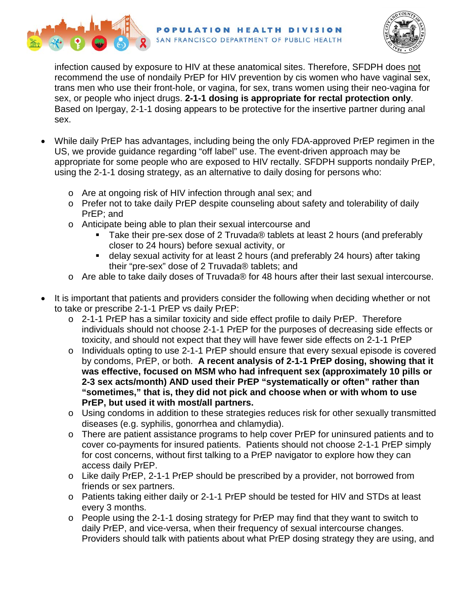



infection caused by exposure to HIV at these anatomical sites. Therefore, SFDPH does not recommend the use of nondaily PrEP for HIV prevention by cis women who have vaginal sex, trans men who use their front-hole, or vagina, for sex, trans women using their neo-vagina for sex, or people who inject drugs. **2-1-1 dosing is appropriate for rectal protection only**. Based on Ipergay, 2-1-1 dosing appears to be protective for the insertive partner during anal sex.

- While daily PrEP has advantages, including being the only FDA-approved PrEP regimen in the US, we provide guidance regarding "off label" use. The event-driven approach may be appropriate for some people who are exposed to HIV rectally. SFDPH supports nondaily PrEP, using the 2-1-1 dosing strategy, as an alternative to daily dosing for persons who:
	- o Are at ongoing risk of HIV infection through anal sex; and
	- o Prefer not to take daily PrEP despite counseling about safety and tolerability of daily PrEP; and
	- o Anticipate being able to plan their sexual intercourse and
		- Take their pre-sex dose of 2 Truvada® tablets at least 2 hours (and preferably closer to 24 hours) before sexual activity, or
		- delay sexual activity for at least 2 hours (and preferably 24 hours) after taking their "pre-sex" dose of 2 Truvada® tablets; and
	- o Are able to take daily doses of Truvada® for 48 hours after their last sexual intercourse.
- It is important that patients and providers consider the following when deciding whether or not to take or prescribe 2-1-1 PrEP vs daily PrEP:
	- o 2-1-1 PrEP has a similar toxicity and side effect profile to daily PrEP. Therefore individuals should not choose 2-1-1 PrEP for the purposes of decreasing side effects or toxicity, and should not expect that they will have fewer side effects on 2-1-1 PrEP
	- o Individuals opting to use 2-1-1 PrEP should ensure that every sexual episode is covered by condoms, PrEP, or both. **A recent analysis of 2-1-1 PrEP dosing, showing that it was effective, focused on MSM who had infrequent sex (approximately 10 pills or 2-3 sex acts/month) AND used their PrEP "systematically or often" rather than "sometimes," that is, they did not pick and choose when or with whom to use PrEP, but used it with most/all partners.**
	- o Using condoms in addition to these strategies reduces risk for other sexually transmitted diseases (e.g. syphilis, gonorrhea and chlamydia).
	- o There are patient assistance programs to help cover PrEP for uninsured patients and to cover co-payments for insured patients. Patients should not choose 2-1-1 PrEP simply for cost concerns, without first talking to a PrEP navigator to explore how they can access daily PrEP.
	- o Like daily PrEP, 2-1-1 PrEP should be prescribed by a provider, not borrowed from friends or sex partners.
	- o Patients taking either daily or 2-1-1 PrEP should be tested for HIV and STDs at least every 3 months.
	- o People using the 2-1-1 dosing strategy for PrEP may find that they want to switch to daily PrEP, and vice-versa, when their frequency of sexual intercourse changes. Providers should talk with patients about what PrEP dosing strategy they are using, and